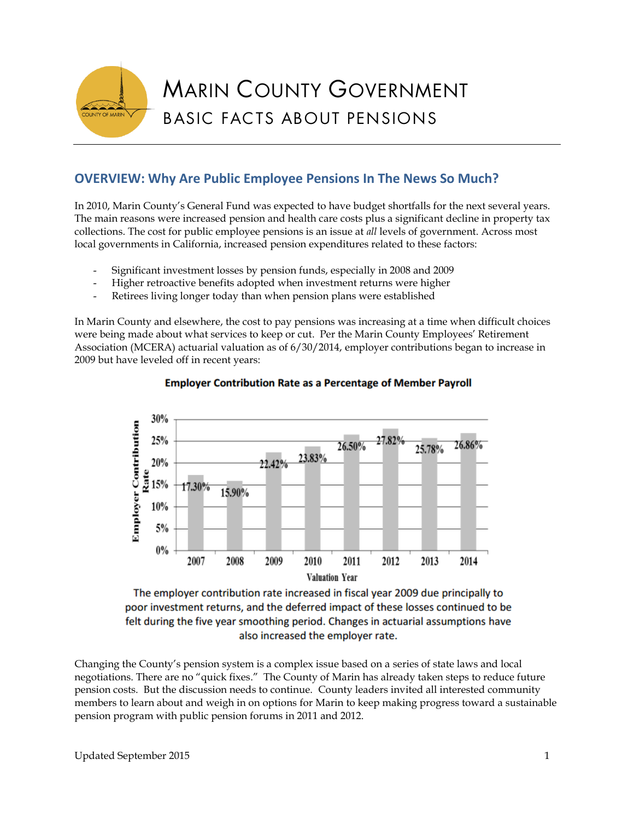

# **OVERVIEW: Why Are Public Employee Pensions In The News So Much?**

In 2010, Marin County's General Fund was expected to have budget shortfalls for the next several years. The main reasons were increased pension and health care costs plus a significant decline in property tax collections. The cost for public employee pensions is an issue at *all* levels of government. Across most local governments in California, increased pension expenditures related to these factors:

- Significant investment losses by pension funds, especially in 2008 and 2009
- Higher retroactive benefits adopted when investment returns were higher
- Retirees living longer today than when pension plans were established

In Marin County and elsewhere, the cost to pay pensions was increasing at a time when difficult choices were being made about what services to keep or cut. Per the Marin County Employees' Retirement Association (MCERA) actuarial valuation as of 6/30/2014, employer contributions began to increase in 2009 but have leveled off in recent years:



### **Employer Contribution Rate as a Percentage of Member Payroll**

The employer contribution rate increased in fiscal year 2009 due principally to poor investment returns, and the deferred impact of these losses continued to be felt during the five year smoothing period. Changes in actuarial assumptions have also increased the employer rate.

Changing the County's pension system is a complex issue based on a series of state laws and local negotiations. There are no "quick fixes." The County of Marin has already taken steps to reduce future pension costs. But the discussion needs to continue. County leaders invited all interested community members to learn about and weigh in on options for Marin to keep making progress toward a sustainable pension program with public pension forums in 2011 and 2012.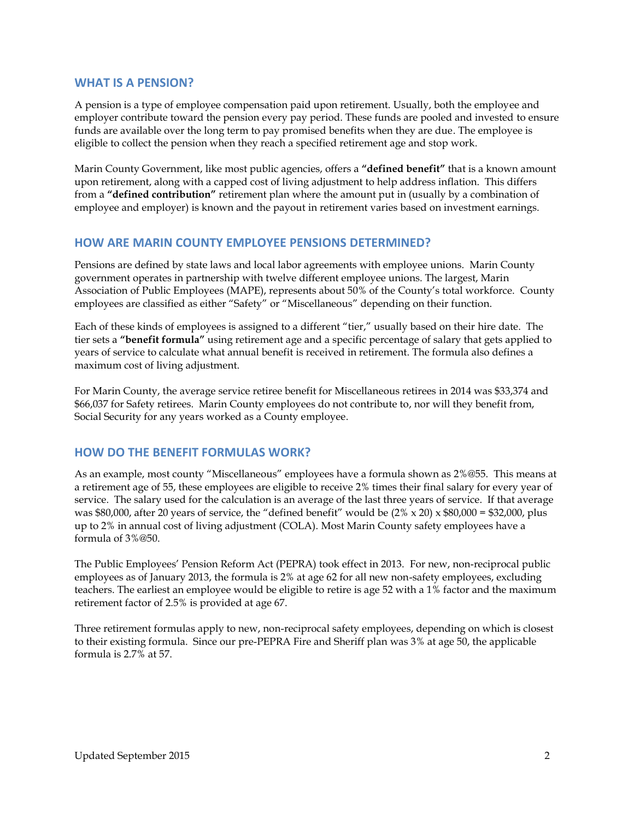### **WHAT IS A PENSION?**

A pension is a type of employee compensation paid upon retirement. Usually, both the employee and employer contribute toward the pension every pay period. These funds are pooled and invested to ensure funds are available over the long term to pay promised benefits when they are due. The employee is eligible to collect the pension when they reach a specified retirement age and stop work.

Marin County Government, like most public agencies, offers a **"defined benefit"** that is a known amount upon retirement, along with a capped cost of living adjustment to help address inflation. This differs from a **"defined contribution"** retirement plan where the amount put in (usually by a combination of employee and employer) is known and the payout in retirement varies based on investment earnings.

### **HOW ARE MARIN COUNTY EMPLOYEE PENSIONS DETERMINED?**

Pensions are defined by state laws and local labor agreements with employee unions. Marin County government operates in partnership with twelve different employee unions. The largest, Marin Association of Public Employees (MAPE), represents about 50% of the County's total workforce. County employees are classified as either "Safety" or "Miscellaneous" depending on their function.

Each of these kinds of employees is assigned to a different "tier," usually based on their hire date. The tier sets a **"benefit formula"** using retirement age and a specific percentage of salary that gets applied to years of service to calculate what annual benefit is received in retirement. The formula also defines a maximum cost of living adjustment.

For Marin County, the average service retiree benefit for Miscellaneous retirees in 2014 was \$33,374 and \$66,037 for Safety retirees. Marin County employees do not contribute to, nor will they benefit from, Social Security for any years worked as a County employee.

### **HOW DO THE BENEFIT FORMULAS WORK?**

As an example, most county "Miscellaneous" employees have a formula shown as 2%@55. This means at a retirement age of 55, these employees are eligible to receive 2% times their final salary for every year of service. The salary used for the calculation is an average of the last three years of service. If that average was \$80,000, after 20 years of service, the "defined benefit" would be  $(2\% \times 20) \times $80,000 = $32,000$ , plus up to 2% in annual cost of living adjustment (COLA). Most Marin County safety employees have a formula of 3%@50.

The Public Employees' Pension Reform Act (PEPRA) took effect in 2013. For new, non-reciprocal public employees as of January 2013, the formula is 2% at age 62 for all new non-safety employees, excluding teachers. The earliest an employee would be eligible to retire is age 52 with a 1% factor and the maximum retirement factor of 2.5% is provided at age 67.

Three retirement formulas apply to new, non-reciprocal safety employees, depending on which is closest to their existing formula. Since our pre-PEPRA Fire and Sheriff plan was 3% at age 50, the applicable formula is 2.7% at 57.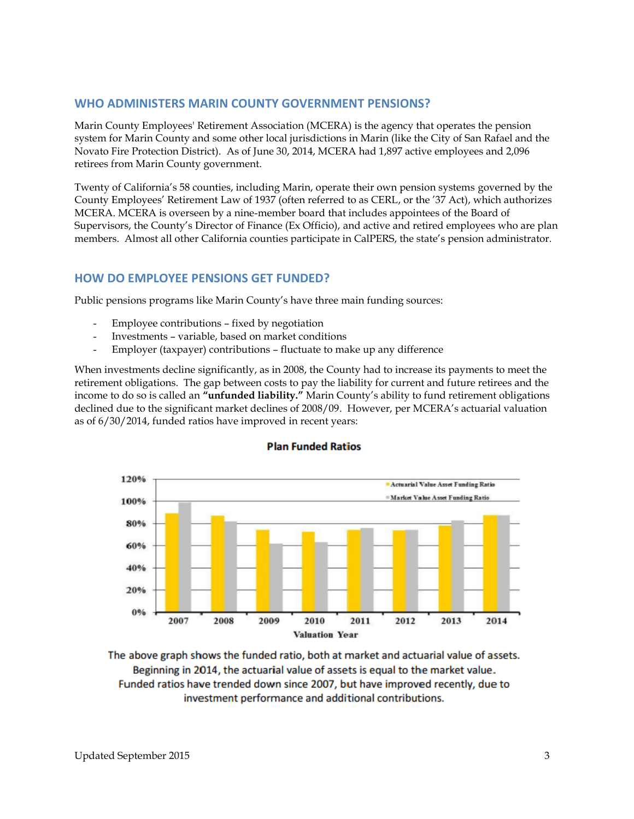### **WHO ADMINISTERS MARIN COUNTY GOVERNMENT PENSIONS?**

Marin County Employees' Retirement Association (MCERA) is the agency that operates the pension system for Marin County and some other local jurisdictions in Marin (like the City of San Rafael and the Novato Fire Protection District). As of June 30, 2014, MCERA had 1,897 active employees and 2,096 retirees from Marin County government.

Twenty of California's 58 counties, including Marin, operate their own pension systems governed by the County Employees' Retirement Law of 1937 (often referred to as CERL, or the '37 Act), which authorizes MCERA. MCERA is overseen by a nine-member board that includes appointees of the Board of Supervisors, the County's Director of Finance (Ex Officio), and active and retired employees who are plan members. Almost all other California counties participate in CalPERS, the state's pension administrator.

### **HOW DO EMPLOYEE PENSIONS GET FUNDED?**

Public pensions programs like Marin County's have three main funding sources:

- Employee contributions fixed by negotiation
- Investments variable, based on market conditions
- Employer (taxpayer) contributions fluctuate to make up any difference

When investments decline significantly, as in 2008, the County had to increase its payments to meet the retirement obligations. The gap between costs to pay the liability for current and future retirees and the income to do so is called an **"unfunded liability."** Marin County's ability to fund retirement obligations declined due to the significant market declines of 2008/09. However, per MCERA's actuarial valuation as of 6/30/2014, funded ratios have improved in recent years:



#### **Plan Funded Ratios**

The above graph shows the funded ratio, both at market and actuarial value of assets. Beginning in 2014, the actuarial value of assets is equal to the market value. Funded ratios have trended down since 2007, but have improved recently, due to investment performance and additional contributions.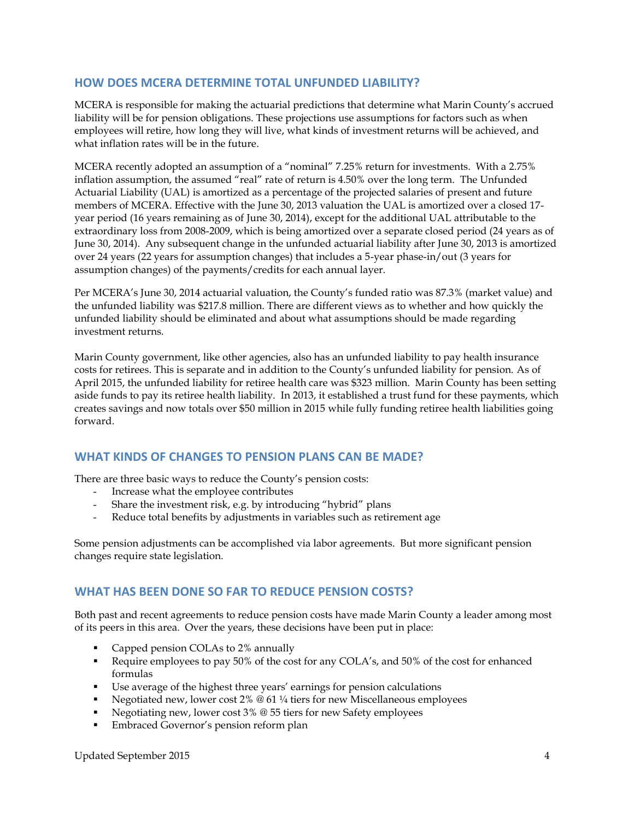# **HOW DOES MCERA DETERMINE TOTAL UNFUNDED LIABILITY?**

MCERA is responsible for making the actuarial predictions that determine what Marin County's accrued liability will be for pension obligations. These projections use assumptions for factors such as when employees will retire, how long they will live, what kinds of investment returns will be achieved, and what inflation rates will be in the future.

MCERA recently adopted an assumption of a "nominal" 7.25% return for investments. With a 2.75% inflation assumption, the assumed "real" rate of return is 4.50% over the long term. The Unfunded Actuarial Liability (UAL) is amortized as a percentage of the projected salaries of present and future members of MCERA. Effective with the June 30, 2013 valuation the UAL is amortized over a closed 17 year period (16 years remaining as of June 30, 2014), except for the additional UAL attributable to the extraordinary loss from 2008-2009, which is being amortized over a separate closed period (24 years as of June 30, 2014). Any subsequent change in the unfunded actuarial liability after June 30, 2013 is amortized over 24 years (22 years for assumption changes) that includes a 5-year phase-in/out (3 years for assumption changes) of the payments/credits for each annual layer.

Per MCERA's June 30, 2014 actuarial valuation, the County's funded ratio was 87.3% (market value) and the unfunded liability was \$217.8 million. There are different views as to whether and how quickly the unfunded liability should be eliminated and about what assumptions should be made regarding investment returns.

Marin County government, like other agencies, also has an unfunded liability to pay health insurance costs for retirees. This is separate and in addition to the County's unfunded liability for pension. As of April 2015, the unfunded liability for retiree health care was \$323 million. Marin County has been setting aside funds to pay its retiree health liability. In 2013, it established a trust fund for these payments, which creates savings and now totals over \$50 million in 2015 while fully funding retiree health liabilities going forward.

### **WHAT KINDS OF CHANGES TO PENSION PLANS CAN BE MADE?**

There are three basic ways to reduce the County's pension costs:

- Increase what the employee contributes
- Share the investment risk, e.g. by introducing "hybrid" plans
- Reduce total benefits by adjustments in variables such as retirement age

Some pension adjustments can be accomplished via labor agreements. But more significant pension changes require state legislation.

### **WHAT HAS BEEN DONE SO FAR TO REDUCE PENSION COSTS?**

Both past and recent agreements to reduce pension costs have made Marin County a leader among most of its peers in this area. Over the years, these decisions have been put in place:

- Capped pension COLAs to 2% annually
- Require employees to pay 50% of the cost for any COLA's, and 50% of the cost for enhanced formulas
- Use average of the highest three years' earnings for pension calculations
- Negotiated new, lower cost  $2\%$  @ 61  $\frac{1}{4}$  tiers for new Miscellaneous employees
- Negotiating new, lower cost 3% @ 55 tiers for new Safety employees
- **Embraced Governor's pension reform plan**